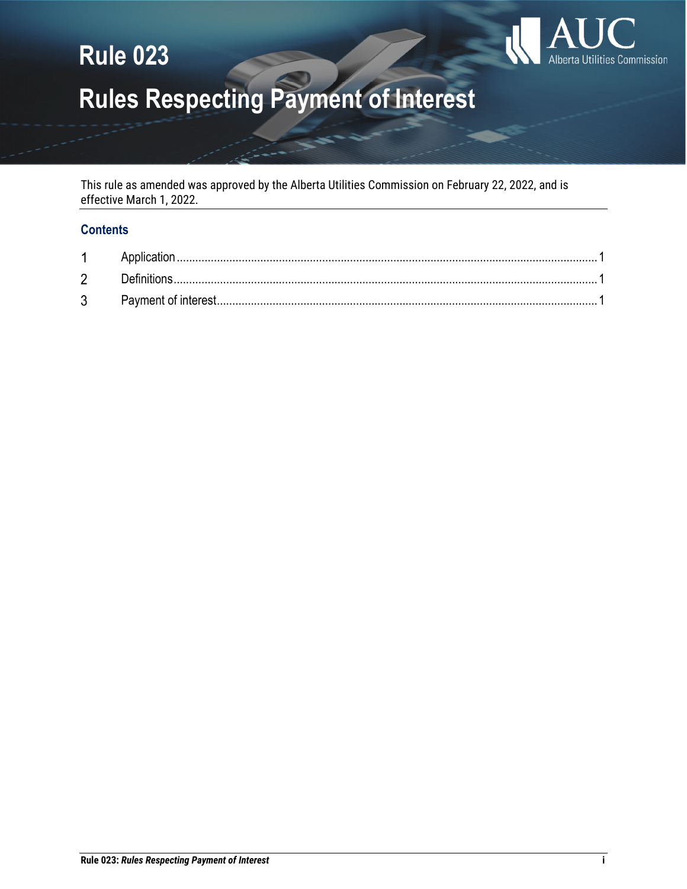# Alberta Utilities Commission

## **Rule 023**

## **Rules Respecting Payment of Interest**

This rule as amended was approved by the Alberta Utilities Commission on February 22, 2022, and is effective March 1, 2022.

## **Contents**

| 1 |  |
|---|--|
| 2 |  |
| 3 |  |